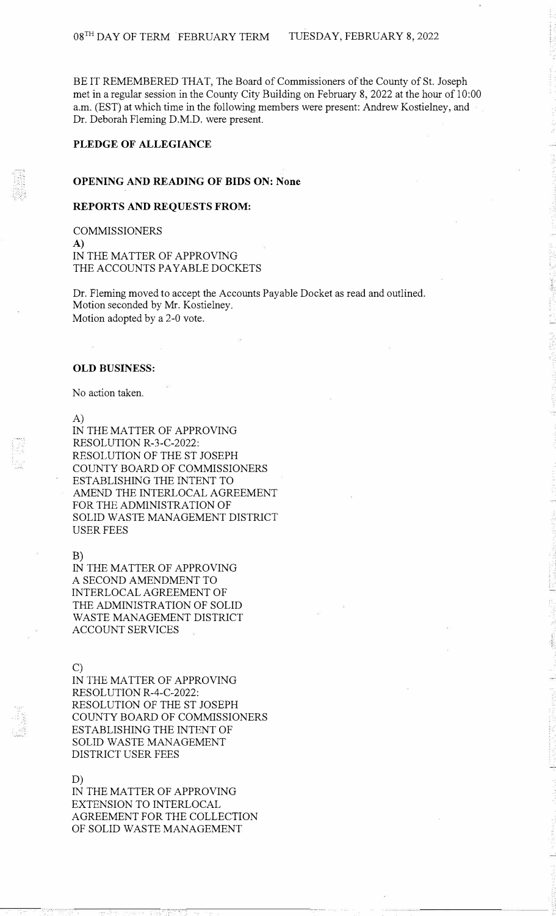BE IT REMEMBERED THAT, The Board of Commissioners of the County of St. Joseph met in a regular session in the County City Building on February 8, 2022 at the hour of 10:00 a.m. (EST) at which time in the following members were present: Andrew Kostielney, and Dr. Deborah Fleming D.M.D. were present.

# **PLEDGE OF ALLEGIANCE**

### **OPENING AND READING OF BIDS ON: None**

### **REPORTS AND REQUESTS FROM:**

COMMISSIONERS **A)**  IN THE MATTER OF APPROVING THE ACCOUNTS PAYABLE DOCKETS

Dr. Fleming moved to accept the Accounts Payable Docket as read and outlined. Motion seconded by Mr. Kostielney. Motion adopted by a 2-0 vote.

#### **OLD BUSINESS:**

No action taken.

A)

IN THE MATTER OF APPROVING RESOLUTION R-3-C-2022: RESOLUTION OF THE ST JOSEPH COUNTY BOARD OF COMMISSIONERS ESTABLISHING THE INTENT TO AMEND THE INTERLOCAL AGREEMENT FOR THE ADMINISTRATION OF SOLID WASTE MANAGEMENT DISTRICT USER FEES

B)

IN THE MATTER OF APPROVING A SECOND AMENDMENT TO INTERLOCAL AGREEMENT OF THE ADMINISTRATION OF SOLID WASTE MANAGEMENT DISTRICT ACCOUNT SERVICES

#### C)

IN THE MATTER OF APPROVING RESOLUTION R-4-C-2022: RESOLUTION OF THE ST JOSEPH COUNTY BOARD OF COMMISSIONERS ESTABLISHING THE INTENT OF SOLID WASTE MANAGEMENT DISTRICT USER FEES

## D)

IN THE MATTER OF APPROVING EXTENSION TO INTERLOCAL AGREEMENT FOR THE COLLECTION OF SOLID WASTE MANAGEMENT